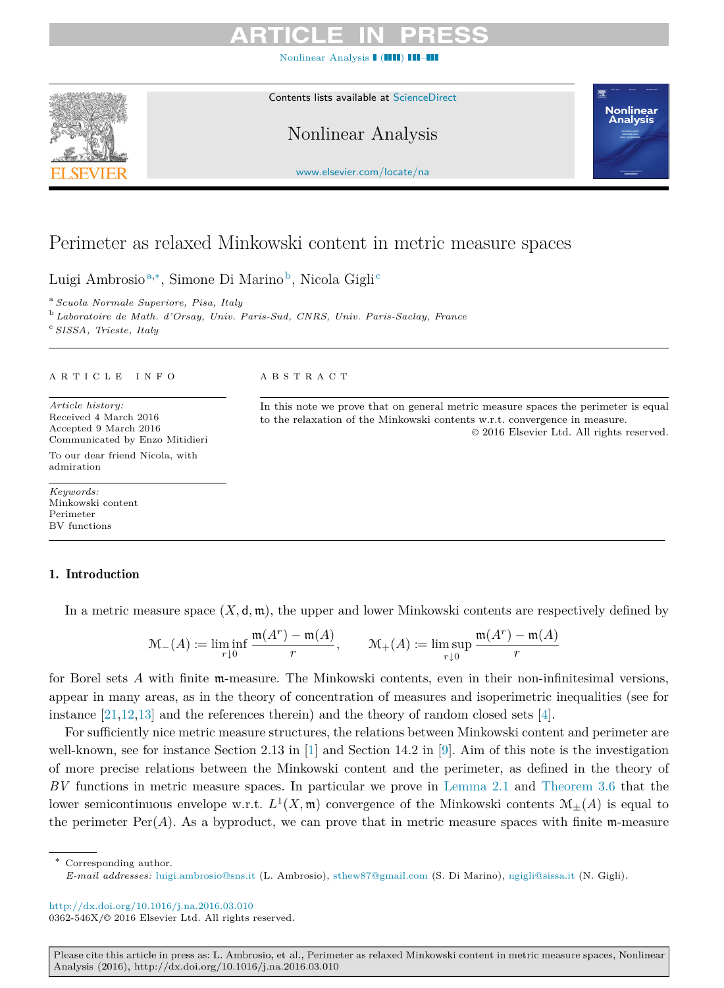[Nonlinear Analysis](http://dx.doi.org/10.1016/j.na.2016.03.010) **(IIII) III** 



Contents lists available at [ScienceDirect](http://www.sciencedirect.com)

Nonlinear Analysis



[www.elsevier.com/locate/na](http://www.elsevier.com/locate/na)

# Perimeter as relaxed Minkowski content in metric measure spaces

Luigi Ambrosio<sup>[a,](#page-0-0)[∗](#page-0-1)</sup>, Simone Di Marino<sup>[b](#page-0-2)</sup>, Ni[c](#page-0-3)ola Gigli<sup>c</sup>

<span id="page-0-0"></span><sup>a</sup> *Scuola Normale Superiore, Pisa, Italy*

<span id="page-0-3"></span><span id="page-0-2"></span><sup>b</sup> *Laboratoire de Math. d'Orsay, Univ. Paris-Sud, CNRS, Univ. Paris-Saclay, France* <sup>c</sup> *SISSA, Trieste, Italy*

### A R T I C L E I N F O

*Article history:* Received 4 March 2016 Accepted 9 March 2016 Communicated by Enzo Mitidieri To our dear friend Nicola, with admiration

*Keywords:* Minkowski content Perimeter BV functions

# A B S T R A C T

In this note we prove that on general metric measure spaces the perimeter is equal to the relaxation of the Minkowski contents w.r.t. convergence in measure. © 2016 Elsevier Ltd. All rights reserved.

# 1. Introduction

In a metric measure space  $(X, \mathsf{d}, \mathfrak{m})$ , the upper and lower Minkowski contents are respectively defined by

$$
\mathcal{M}_{-}(A) := \liminf_{r \downarrow 0} \frac{\mathfrak{m}(A^r) - \mathfrak{m}(A)}{r}, \qquad \mathcal{M}_{+}(A) := \limsup_{r \downarrow 0} \frac{\mathfrak{m}(A^r) - \mathfrak{m}(A)}{r}
$$

for Borel sets *A* with finite m-measure. The Minkowski contents, even in their non-infinitesimal versions, appear in many areas, as in the theory of concentration of measures and isoperimetric inequalities (see for instance  $[21,12,13]$  $[21,12,13]$  $[21,12,13]$  and the references therein) and the theory of random closed sets  $[4]$ .

For sufficiently nice metric measure structures, the relations between Minkowski content and perimeter are well-known, see for instance Section 2.13 in [\[1\]](#page-9-1) and Section 14.2 in [\[9\]](#page-10-3). Aim of this note is the investigation of more precise relations between the Minkowski content and the perimeter, as defined in the theory of *BV* functions in metric measure spaces. In particular we prove in [Lemma 2.1](#page-2-0) and [Theorem 3.6](#page-4-0) that the lower semicontinuous envelope w.r.t.  $L^1(X, \mathfrak{m})$  convergence of the Minkowski contents  $\mathcal{M}_{\pm}(A)$  is equal to the perimeter  $\text{Per}(A)$ . As a byproduct, we can prove that in metric measure spaces with finite m-measure

<span id="page-0-1"></span>Corresponding author. *E-mail addresses:* [luigi.ambrosio@sns.it](mailto:luigi.ambrosio@sns.it) (L. Ambrosio), [sthew87@gmail.com](mailto:sthew87@gmail.com) (S. Di Marino), [ngigli@sissa.it](mailto:ngigli@sissa.it) (N. Gigli).

<http://dx.doi.org/10.1016/j.na.2016.03.010> 0362-546X/© 2016 Elsevier Ltd. All rights reserved.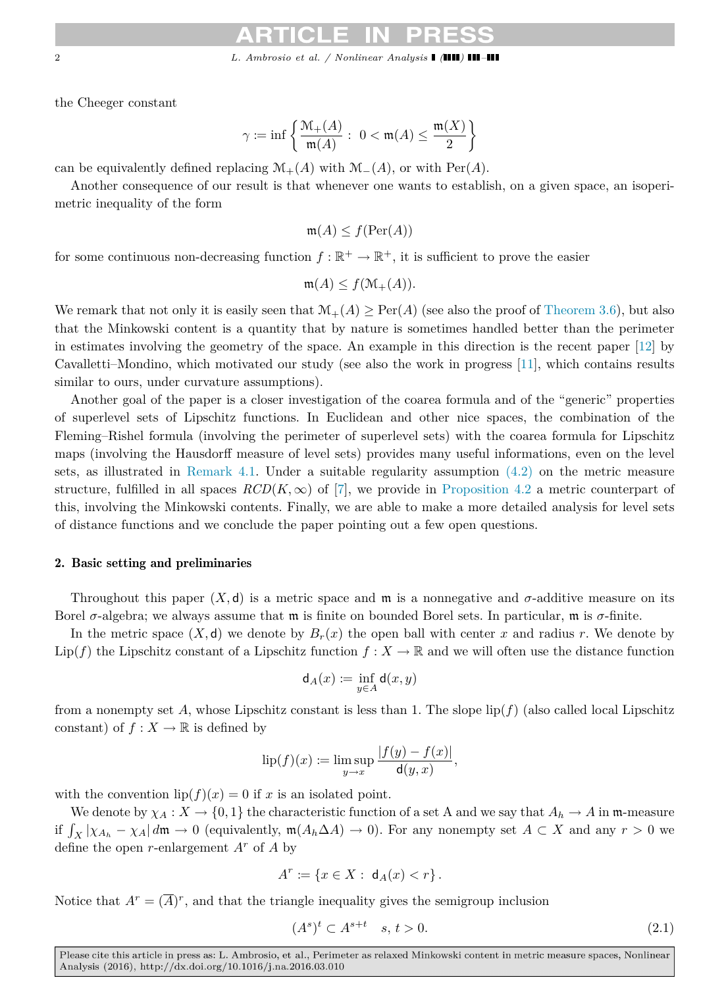2 *L. Ambrosio et al. / Nonlinear Analysis ( ) –*

the Cheeger constant

$$
\gamma:=\inf\left\{\frac{\mathfrak{M}_+(A)}{\mathfrak{m}(A)}:\ 0<\mathfrak{m}(A)\leq\frac{\mathfrak{m}(X)}{2}\right\}
$$

can be equivalently defined replacing  $\mathcal{M}_+(A)$  with  $\mathcal{M}_-(A)$ , or with Per(*A*).

Another consequence of our result is that whenever one wants to establish, on a given space, an isoperimetric inequality of the form

 $m(A) < f(\text{Per}(A))$ 

for some continuous non-decreasing function  $f : \mathbb{R}^+ \to \mathbb{R}^+$ , it is sufficient to prove the easier

$$
\mathfrak{m}(A) \le f(\mathfrak{M}_+(A)).
$$

We remark that not only it is easily seen that  $\mathcal{M}_+(A) \geq \text{Per}(A)$  (see also the proof of [Theorem 3.6\)](#page-4-0), but also that the Minkowski content is a quantity that by nature is sometimes handled better than the perimeter in estimates involving the geometry of the space. An example in this direction is the recent paper [\[12\]](#page-10-1) by Cavalletti–Mondino, which motivated our study (see also the work in progress [\[11\]](#page-10-4), which contains results similar to ours, under curvature assumptions).

Another goal of the paper is a closer investigation of the coarea formula and of the "generic" properties of superlevel sets of Lipschitz functions. In Euclidean and other nice spaces, the combination of the Fleming–Rishel formula (involving the perimeter of superlevel sets) with the coarea formula for Lipschitz maps (involving the Hausdorff measure of level sets) provides many useful informations, even on the level sets, as illustrated in [Remark 4.1.](#page-5-0) Under a suitable regularity assumption [\(4.2\)](#page-5-1) on the metric measure structure, fulfilled in all spaces  $RCD(K,\infty)$  of [\[7\]](#page-10-5), we provide in [Proposition 4.2](#page-6-0) a metric counterpart of this, involving the Minkowski contents. Finally, we are able to make a more detailed analysis for level sets of distance functions and we conclude the paper pointing out a few open questions.

### 2. Basic setting and preliminaries

Throughout this paper  $(X, d)$  is a metric space and  $m$  is a nonnegative and  $\sigma$ -additive measure on its Borel *σ*-algebra; we always assume that m is finite on bounded Borel sets. In particular, m is *σ*-finite.

In the metric space  $(X, d)$  we denote by  $B_r(x)$  the open ball with center x and radius r. We denote by Lip(*f*) the Lipschitz constant of a Lipschitz function  $f: X \to \mathbb{R}$  and we will often use the distance function

$$
\mathsf{d}_A(x) := \inf_{y \in A} \mathsf{d}(x, y)
$$

from a nonempty set A, whose Lipschitz constant is less than 1. The slope  $\text{lip}(f)$  (also called local Lipschitz constant) of  $f: X \to \mathbb{R}$  is defined by

$$
\mathrm{lip}(f)(x) := \limsup_{y \to x} \frac{|f(y) - f(x)|}{\mathsf{d}(y, x)},
$$

with the convention  $lip(f)(x) = 0$  if *x* is an isolated point.

We denote by  $\chi_A : X \to \{0,1\}$  the characteristic function of a set A and we say that  $A_h \to A$  in m-measure if  $\int_X |\chi_{A_h} - \chi_A| d\mathfrak{m} \to 0$  (equivalently,  $\mathfrak{m}(A_h \Delta A) \to 0$ ). For any nonempty set  $A \subset X$  and any  $r > 0$  we define the open *r*-enlargement *A<sup>r</sup>* of *A* by

$$
A^r := \{ x \in X : \, \mathsf{d}_A(x) < r \} \, .
$$

Notice that  $A^r = (\overline{A})^r$ , and that the triangle inequality gives the semigroup inclusion

<span id="page-1-0"></span>
$$
(As)t \subset As+t \quad s, t > 0. \tag{2.1}
$$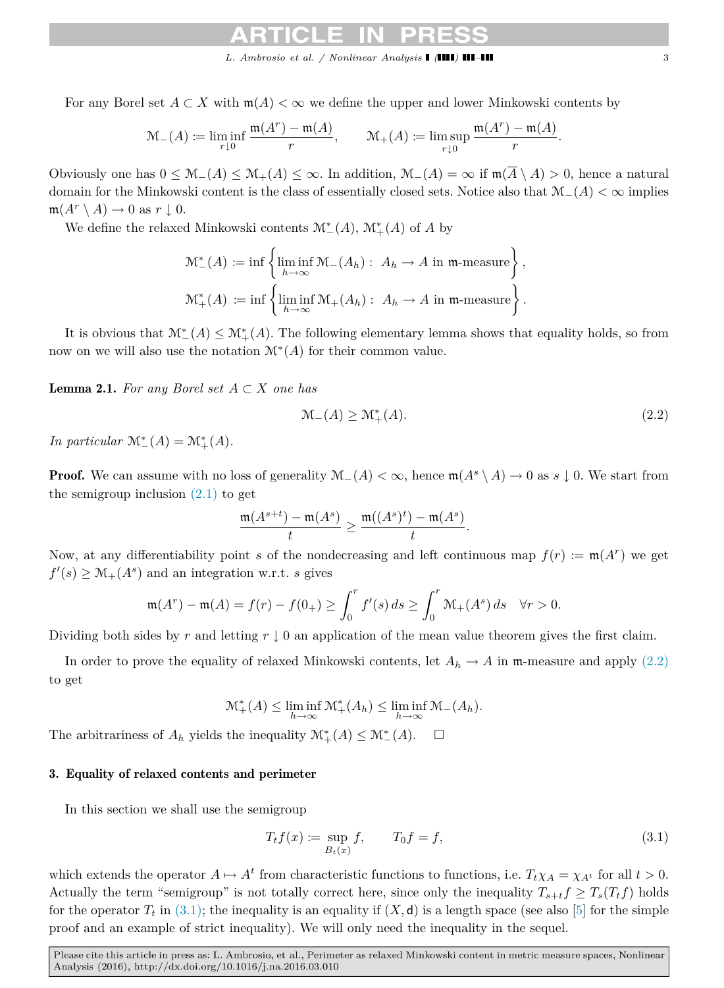For any Borel set  $A \subset X$  with  $m(A) < \infty$  we define the upper and lower Minkowski contents by

$$
\mathcal{M}_{-}(A) := \liminf_{r \downarrow 0} \frac{\mathfrak{m}(A^r) - \mathfrak{m}(A)}{r}, \qquad \mathcal{M}_{+}(A) := \limsup_{r \downarrow 0} \frac{\mathfrak{m}(A^r) - \mathfrak{m}(A)}{r}.
$$

Obviously one has  $0 \leq M_-(A) \leq M_+(A) \leq \infty$ . In addition,  $M_-(A) = \infty$  if  $\mathfrak{m}(\overline{A} \setminus A) > 0$ , hence a natural domain for the Minkowski content is the class of essentially closed sets. Notice also that M−(*A*) *<* ∞ implies  $m(A^r \setminus A) \to 0$  as  $r \downarrow 0$ .

We define the relaxed Minkowski contents  $\mathcal{M}^*_-(A),$   $\mathcal{M}^*_+(A)$  of  $A$  by

$$
\mathcal{M}_{-}^{*}(A) := \inf \left\{ \liminf_{h \to \infty} \mathcal{M}_{-}(A_{h}) : A_{h} \to A \text{ in } \mathfrak{m}\text{-measure} \right\},\
$$
  

$$
\mathcal{M}_{+}^{*}(A) := \inf \left\{ \liminf_{h \to \infty} \mathcal{M}_{+}(A_{h}) : A_{h} \to A \text{ in } \mathfrak{m}\text{-measure} \right\}.
$$

It is obvious that  $\mathcal{M}^*_{-}(A) \leq \mathcal{M}^*_{+}(A)$ . The following elementary lemma shows that equality holds, so from now on we will also use the notation M<sup>∗</sup> (*A*) for their common value.

<span id="page-2-0"></span>Lemma 2.1. *For any Borel set A* ⊂ *X one has*

<span id="page-2-1"></span>
$$
\mathcal{M}_{-}(A) \ge \mathcal{M}_{+}^{*}(A). \tag{2.2}
$$

*In particular*  $\mathcal{M}^*_{-}(A) = \mathcal{M}^*_{+}(A)$ *.* 

**Proof.** We can assume with no loss of generality  $\mathcal{M}_-(A) < \infty$ , hence  $\mathfrak{m}(A^s \setminus A) \to 0$  as  $s \downarrow 0$ . We start from the semigroup inclusion  $(2.1)$  to get

$$
\frac{\mathfrak{m}(A^{s+t})-\mathfrak{m}(A^s)}{t}\geq \frac{\mathfrak{m}((A^s)^t)-\mathfrak{m}(A^s)}{t}.
$$

Now, at any differentiability point *s* of the nondecreasing and left continuous map  $f(r) := \mathfrak{m}(A^r)$  we get  $f'(s) \geq M_+(A^s)$  and an integration w.r.t. *s* gives

$$
\mathfrak{m}(A^r) - \mathfrak{m}(A) = f(r) - f(0_+) \ge \int_0^r f'(s) \, ds \ge \int_0^r \mathfrak{M}_+(A^s) \, ds \quad \forall r > 0.
$$

Dividing both sides by *r* and letting  $r \downarrow 0$  an application of the mean value theorem gives the first claim.

In order to prove the equality of relaxed Minkowski contents, let  $A_h \to A$  in m-measure and apply [\(2.2\)](#page-2-1) to get

$$
\mathcal{M}^*_+(A) \leq \liminf_{h \to \infty} \mathcal{M}^*_+(A_h) \leq \liminf_{h \to \infty} \mathcal{M}_-(A_h).
$$

The arbitrariness of  $A_h$  yields the inequality  $\mathcal{M}^*_+(A) \leq \mathcal{M}^*_{-}(A)$ .  $\Box$ 

### 3. Equality of relaxed contents and perimeter

In this section we shall use the semigroup

<span id="page-2-2"></span>
$$
T_t f(x) := \sup_{B_t(x)} f, \qquad T_0 f = f,\tag{3.1}
$$

which extends the operator  $A \mapsto A^t$  from characteristic functions to functions, i.e.  $T_t \chi_A = \chi_{A^t}$  for all  $t > 0$ . Actually the term "semigroup" is not totally correct here, since only the inequality  $T_{s+t}f \geq T_s(T_tf)$  holds for the operator  $T_t$  in [\(3.1\);](#page-2-2) the inequality is an equality if  $(X, d)$  is a length space (see also [\[5\]](#page-10-6) for the simple proof and an example of strict inequality). We will only need the inequality in the sequel.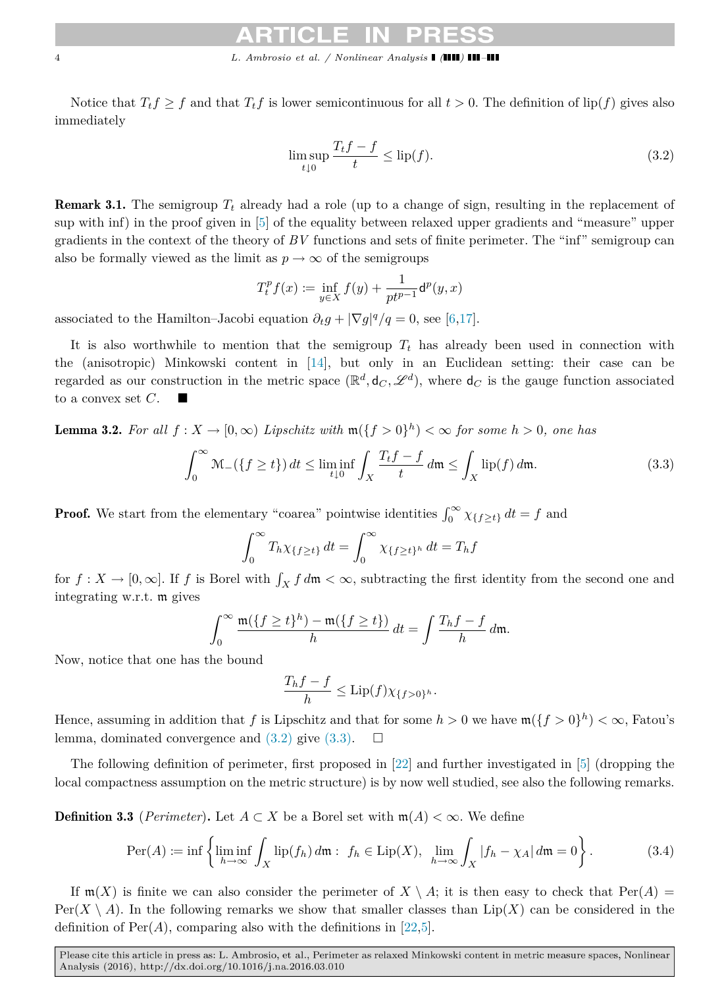Notice that  $T_t f \geq f$  and that  $T_t f$  is lower semicontinuous for all  $t > 0$ . The definition of lip(*f*) gives also immediately

<span id="page-3-0"></span>
$$
\limsup_{t \downarrow 0} \frac{T_t f - f}{t} \le \text{lip}(f). \tag{3.2}
$$

Remark 3.1. The semigroup *T<sup>t</sup>* already had a role (up to a change of sign, resulting in the replacement of sup with inf) in the proof given in [\[5\]](#page-10-6) of the equality between relaxed upper gradients and "measure" upper gradients in the context of the theory of *BV* functions and sets of finite perimeter. The "inf" semigroup can also be formally viewed as the limit as  $p \to \infty$  of the semigroups

$$
T_t^p f(x) := \inf_{y \in X} f(y) + \frac{1}{pt^{p-1}} \mathsf{d}^p(y, x)
$$

associated to the Hamilton–Jacobi equation  $\partial_t g + |\nabla g|^q / q = 0$ , see [\[6,](#page-10-7)[17\]](#page-10-8).

It is also worthwhile to mention that the semigroup  $T_t$  has already been used in connection with the (anisotropic) Minkowski content in [\[14\]](#page-10-9), but only in an Euclidean setting: their case can be regarded as our construction in the metric space  $(\mathbb{R}^d, \mathsf{d}_C, \mathscr{L}^d)$ , where  $\mathsf{d}_C$  is the gauge function associated to a convex set *C*.

**Lemma 3.2.** For all  $f: X \to [0, \infty)$  Lipschitz with  $\mathfrak{m}(\lbrace f > 0 \rbrace^h) < \infty$  for some  $h > 0$ , one has

<span id="page-3-4"></span>
$$
\int_0^\infty \mathcal{M}_-(\{f \ge t\}) dt \le \liminf_{t \downarrow 0} \int_X \frac{T_t f - f}{t} dm \le \int_X \text{lip}(f) dm. \tag{3.3}
$$

**Proof.** We start from the elementary "coarea" pointwise identities  $\int_0^\infty \chi_{\{f\geq t\}} dt = f$  and

<span id="page-3-1"></span>
$$
\int_0^\infty T_h \chi_{\{f \ge t\}} \, dt = \int_0^\infty \chi_{\{f \ge t\}^h} \, dt = T_h f
$$

for  $f: X \to [0, \infty]$ . If *f* is Borel with  $\int_X f d\mathfrak{m} < \infty$ , subtracting the first identity from the second one and integrating w.r.t. m gives

$$
\int_0^\infty \frac{\mathfrak{m}(\{f \ge t\}^h) - \mathfrak{m}(\{f \ge t\})}{h} dt = \int \frac{T_h f - f}{h} dm.
$$

Now, notice that one has the bound

<span id="page-3-2"></span>
$$
\frac{T_h f - f}{h} \le \text{Lip}(f) \chi_{\{f > 0\}^h}.
$$

Hence, assuming in addition that f is Lipschitz and that for some  $h > 0$  we have  $\mathfrak{m}(\lbrace f > 0 \rbrace^h) < \infty$ , Fatou's lemma, dominated convergence and  $(3.2)$  give  $(3.3)$ .  $\Box$ 

The following definition of perimeter, first proposed in [\[22\]](#page-10-10) and further investigated in [\[5\]](#page-10-6) (dropping the local compactness assumption on the metric structure) is by now well studied, see also the following remarks.

**Definition 3.3** (*Perimeter*). Let  $A \subset X$  be a Borel set with  $m(A) < \infty$ . We define

<span id="page-3-3"></span>
$$
\operatorname{Per}(A) := \inf \left\{ \liminf_{h \to \infty} \int_X \operatorname{lip}(f_h) \, dm : \ f_h \in \operatorname{Lip}(X), \ \lim_{h \to \infty} \int_X |f_h - \chi_A| \, dm = 0 \right\}.
$$
 (3.4)

If  $\mathfrak{m}(X)$  is finite we can also consider the perimeter of  $X \setminus A$ ; it is then easy to check that  $\text{Per}(A) =$  $Per(X \setminus A)$ . In the following remarks we show that smaller classes than  $Lip(X)$  can be considered in the definition of  $Per(A)$ , comparing also with the definitions in [\[22,](#page-10-10)[5\]](#page-10-6).

Please cite this article in press as: L. Ambrosio, et al., Perimeter as relaxed Minkowski content in metric measure spaces, Nonlinear Analysis (2016), http://dx.doi.org/10.1016/j.na.2016.03.010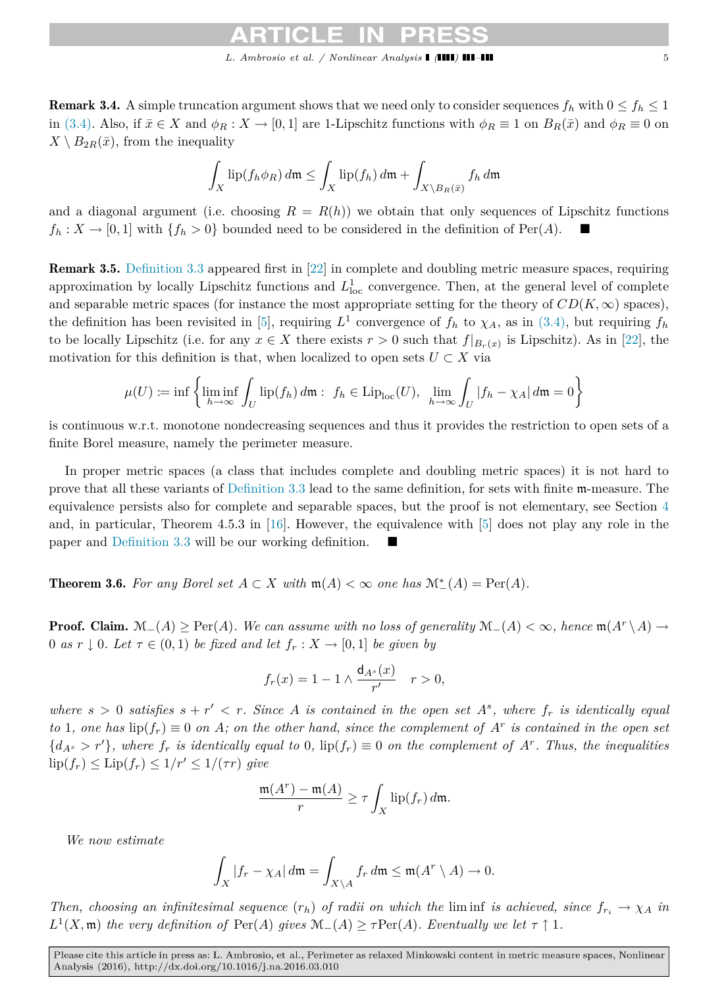<span id="page-4-1"></span>**Remark 3.4.** A simple truncation argument shows that we need only to consider sequences  $f_h$  with  $0 \le f_h \le 1$ in [\(3.4\).](#page-3-2) Also, if  $\bar{x} \in X$  and  $\phi_R : X \to [0,1]$  are 1-Lipschitz functions with  $\phi_R \equiv 1$  on  $B_R(\bar{x})$  and  $\phi_R \equiv 0$  on  $X \setminus B_{2R}(\bar{x})$ , from the inequality

$$
\int_X \mathrm{lip}(f_h \phi_R) \, d\mathfrak{m} \le \int_X \mathrm{lip}(f_h) \, d\mathfrak{m} + \int_{X \setminus B_R(\bar{x})} f_h \, d\mathfrak{m}
$$

and a diagonal argument (i.e. choosing  $R = R(h)$ ) we obtain that only sequences of Lipschitz functions  $f_h: X \to [0,1]$  with  $\{f_h > 0\}$  bounded need to be considered in the definition of Per(*A*).

<span id="page-4-2"></span>Remark 3.5. [Definition 3.3](#page-3-3) appeared first in [\[22\]](#page-10-10) in complete and doubling metric measure spaces, requiring approximation by locally Lipschitz functions and  $L^1_{loc}$  convergence. Then, at the general level of complete and separable metric spaces (for instance the most appropriate setting for the theory of  $CD(K, \infty)$  spaces), the definition has been revisited in [\[5\]](#page-10-6), requiring  $L^1$  convergence of  $f_h$  to  $\chi_A$ , as in [\(3.4\),](#page-3-2) but requiring  $f_h$ to be locally Lipschitz (i.e. for any  $x \in X$  there exists  $r > 0$  such that  $f|_{B_r(x)}$  is Lipschitz). As in [\[22\]](#page-10-10), the motivation for this definition is that, when localized to open sets  $U \subset X$  via

$$
\mu(U) := \inf \left\{ \liminf_{h \to \infty} \int_U \text{lip}(f_h) \, d\mathfrak{m} : f_h \in \text{Lip}_{\text{loc}}(U), \lim_{h \to \infty} \int_U |f_h - \chi_A| \, d\mathfrak{m} = 0 \right\}
$$

is continuous w.r.t. monotone nondecreasing sequences and thus it provides the restriction to open sets of a finite Borel measure, namely the perimeter measure.

In proper metric spaces (a class that includes complete and doubling metric spaces) it is not hard to prove that all these variants of [Definition 3.3](#page-3-3) lead to the same definition, for sets with finite m-measure. The equivalence persists also for complete and separable spaces, but the proof is not elementary, see Section [4](#page-5-2) and, in particular, Theorem 4.5.3 in [\[16\]](#page-10-11). However, the equivalence with [\[5\]](#page-10-6) does not play any role in the paper and [Definition 3.3](#page-3-3) will be our working definition.

<span id="page-4-0"></span>**Theorem 3.6.** For any Borel set  $A \subset X$  with  $\mathfrak{m}(A) < \infty$  one has  $\mathcal{M}^*(A) = \text{Per}(A)$ .

**Proof.** Claim.  $\mathcal{M}_-(A) \ge \text{Per}(A)$ . We can assume with no loss of generality  $\mathcal{M}_-(A) < \infty$ , hence  $\mathfrak{m}(A^r \setminus A) \to$ 0 *as*  $r \downarrow$  0*. Let*  $\tau \in (0,1)$  *be fixed and let*  $f_r : X \to [0,1]$  *be given by* 

$$
f_r(x) = 1 - 1 \wedge \frac{\mathsf{d}_{A^s}(x)}{r'} \quad r > 0,
$$

*where*  $s > 0$  *satisfies*  $s + r' < r$ . Since A *is contained in the open set*  $A^s$ , where  $f_r$  *is identically equal to* 1, one has  $\text{lip}(f_r) \equiv 0$  on *A*; on the other hand, since the complement of  $A^r$  is contained in the open set  ${d_{A^s} > r'}$ , where  $f_r$  is identically equal to 0,  $\text{lip}(f_r) \equiv 0$  on the complement of  $A^r$ . Thus, the inequalities  $\text{lip}(f_r) \leq \text{Lip}(f_r) \leq 1/r' \leq 1/(\tau r)$  *give* 

$$
\frac{\mathfrak{m}(A^r) - \mathfrak{m}(A)}{r} \ge \tau \int_X \text{lip}(f_r) \, d\mathfrak{m}.
$$

*We now estimate*

$$
\int_X |f_r - \chi_A| \, d\mathfrak{m} = \int_{X \backslash A} f_r \, d\mathfrak{m} \le \mathfrak{m}(A^r \setminus A) \to 0.
$$

*Then, choosing an infinitesimal sequence*  $(r_h)$  *of radii on which the* liming *is achieved, since*  $f_{r_i} \rightarrow \chi_A$  *in*  $L^1(X, \mathfrak{m})$  *the very definition of*  $\text{Per}(A)$  *gives*  $\mathfrak{M}_-(A) \geq \tau \text{Per}(A)$ *. Eventually we let*  $\tau \uparrow 1$ *.*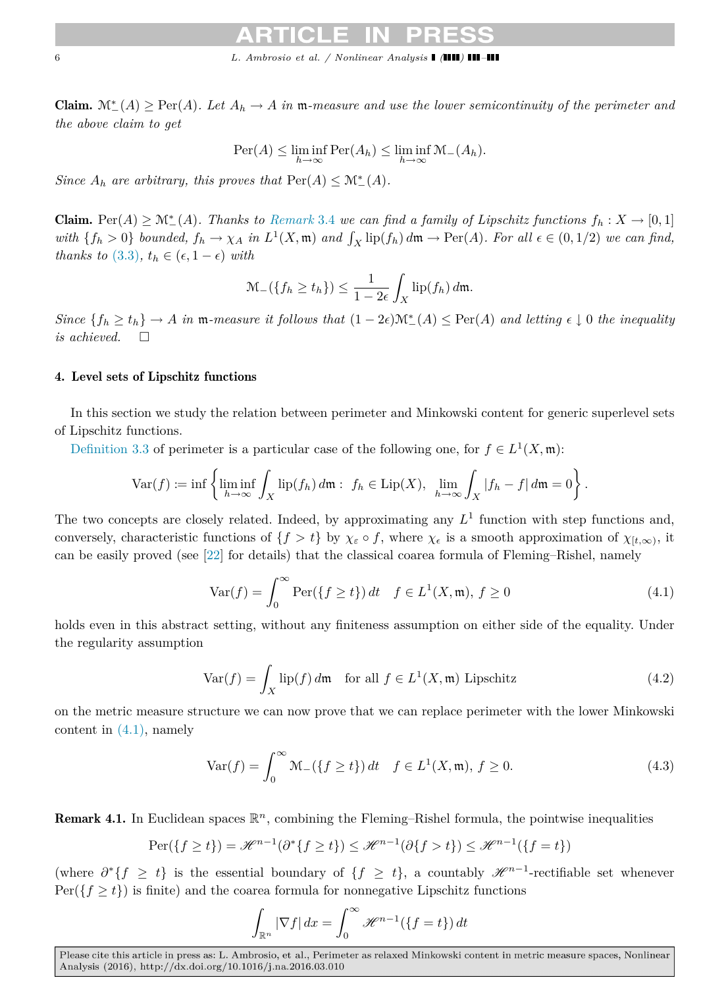Claim.  $\mathcal{M}^*_{-}(A)$  ≥ Per(*A*)*. Let*  $A_h$  → *A in*  $m$ *-measure and use the lower semicontinuity of the perimeter and the above claim to get*

$$
\mathrm{Per}(A) \le \liminf_{h \to \infty} \mathrm{Per}(A_h) \le \liminf_{h \to \infty} \mathcal{M}_-(A_h).
$$

*Since*  $A_h$  *are arbitrary, this proves that*  $\text{Per}(A) \leq \mathcal{M}^*_{-}(A)$ *.* 

Claim. Per $(A) \geq \mathcal{M}^*(A)$ . Thanks to *[Remark](#page-4-1)* 3.4 we can find a family of Lipschitz functions  $f_h: X \to [0,1]$ with  $\{f_h > 0\}$  bounded,  $f_h \to \chi_A$  in  $L^1(X, \mathfrak{m})$  and  $\int_X \text{lip}(f_h) d\mathfrak{m} \to \text{Per}(A)$ . For all  $\epsilon \in (0, 1/2)$  we can find, *thanks to* [\(3.3\)](#page-3-1),  $t_h \in (\epsilon, 1 - \epsilon)$  *with* 

$$
\mathcal{M}_{-}(\{f_{h}\geq t_{h}\})\leq \frac{1}{1-2\epsilon}\int_{X}\mathrm{lip}(f_{h})\,d\mathfrak{m}.
$$

 $Since \{f_h \ge t_h\} \to A \text{ in } \mathfrak{m}$ -measure it follows that  $(1 - 2\epsilon) \mathcal{M}^*_{-}(A) \le \text{Per}(A) \text{ and letting } \epsilon \downarrow 0 \text{ the inequality}$ *is achieved.*

# <span id="page-5-2"></span>4. Level sets of Lipschitz functions

In this section we study the relation between perimeter and Minkowski content for generic superlevel sets of Lipschitz functions.

[Definition 3.3](#page-3-3) of perimeter is a particular case of the following one, for  $f \in L^1(X, \mathfrak{m})$ :

$$
\text{Var}(f) := \inf \left\{ \liminf_{h \to \infty} \int_X \text{lip}(f_h) \, d\mathfrak{m} : f_h \in \text{Lip}(X), \lim_{h \to \infty} \int_X |f_h - f| \, d\mathfrak{m} = 0 \right\}.
$$

The two concepts are closely related. Indeed, by approximating any  $L<sup>1</sup>$  function with step functions and, conversely, characteristic functions of  $\{f > t\}$  by  $\chi_{\varepsilon} \circ f$ , where  $\chi_{\varepsilon}$  is a smooth approximation of  $\chi_{[t,\infty)}$ , it can be easily proved (see [\[22\]](#page-10-10) for details) that the classical coarea formula of Fleming–Rishel, namely

<span id="page-5-3"></span><span id="page-5-1"></span>
$$
\text{Var}(f) = \int_0^\infty \text{Per}(\{f \ge t\}) \, dt \quad f \in L^1(X, \mathfrak{m}), \, f \ge 0 \tag{4.1}
$$

holds even in this abstract setting, without any finiteness assumption on either side of the equality. Under the regularity assumption

$$
\text{Var}(f) = \int_X \text{lip}(f) \, d\mathfrak{m} \quad \text{for all } f \in L^1(X, \mathfrak{m}) \text{ Lipschitz}
$$
\n
$$
\tag{4.2}
$$

on the metric measure structure we can now prove that we can replace perimeter with the lower Minkowski content in  $(4.1)$ , namely

$$
\text{Var}(f) = \int_0^\infty \mathcal{M}_-(\{f \ge t\}) \, dt \quad f \in L^1(X, \mathfrak{m}), \, f \ge 0. \tag{4.3}
$$

Remark 4.1. In Euclidean spaces  $\mathbb{R}^n$ , combining the Fleming–Rishel formula, the pointwise inequalities

<span id="page-5-0"></span>
$$
\operatorname{Per}(\{f \ge t\}) = \mathcal{H}^{n-1}(\partial^* \{f \ge t\}) \le \mathcal{H}^{n-1}(\partial \{f > t\}) \le \mathcal{H}^{n-1}(\{f = t\})
$$

(where  $\partial^* \{f \geq t\}$  is the essential boundary of  $\{f \geq t\}$ , a countably  $\mathscr{H}^{n-1}$ -rectifiable set whenever  $Per({f \ge t})$  is finite) and the coarea formula for nonnegative Lipschitz functions

<span id="page-5-4"></span>
$$
\int_{\mathbb{R}^n} |\nabla f| \, dx = \int_0^\infty \mathcal{H}^{n-1}(\{f = t\}) \, dt
$$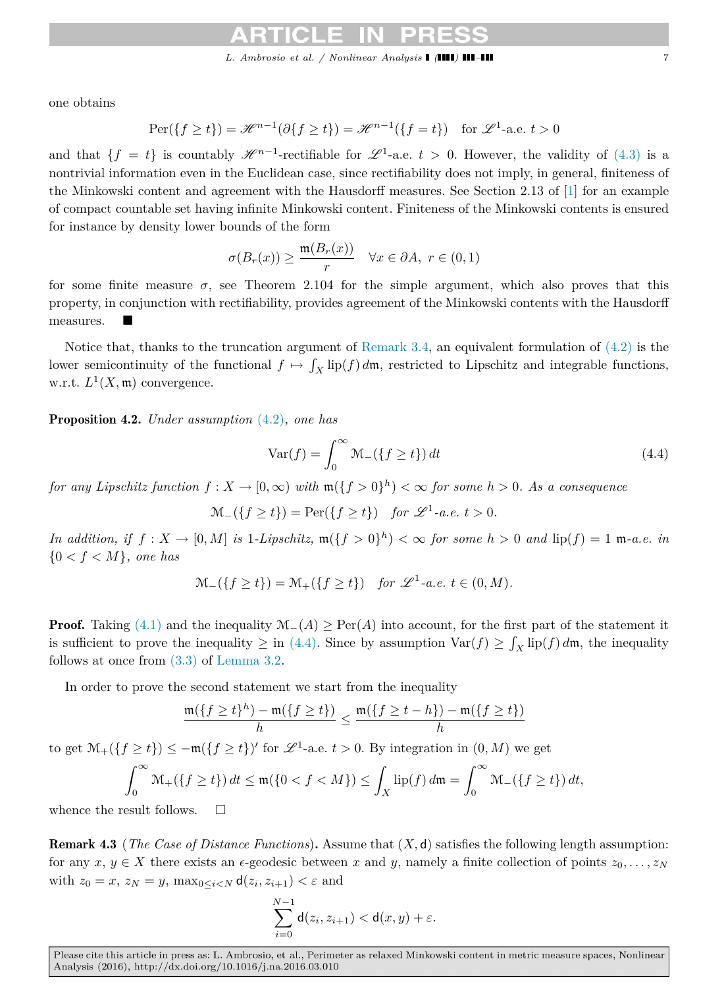*L. Ambrosio et al. / Nonlinear Analysis ( ) –* 7

one obtains

$$
\operatorname{Per}(\{f \ge t\}) = \mathcal{H}^{n-1}(\partial \{f \ge t\}) = \mathcal{H}^{n-1}(\{f = t\}) \quad \text{for } \mathcal{L}^1\text{-a.e. } t > 0
$$

and that  $\{f = t\}$  is countably  $\mathscr{H}^{n-1}$ -rectifiable for  $\mathscr{L}^1$ -a.e.  $t > 0$ . However, the validity of  $(4.3)$  is a nontrivial information even in the Euclidean case, since rectifiability does not imply, in general, finiteness of the Minkowski content and agreement with the Hausdorff measures. See Section 2.13 of [\[1\]](#page-9-1) for an example of compact countable set having infinite Minkowski content. Finiteness of the Minkowski contents is ensured for instance by density lower bounds of the form

$$
\sigma(B_r(x)) \ge \frac{\mathfrak{m}(B_r(x))}{r} \quad \forall x \in \partial A, \ r \in (0,1)
$$

for some finite measure  $\sigma$ , see Theorem 2.104 for the simple argument, which also proves that this property, in conjunction with rectifiability, provides agreement of the Minkowski contents with the Hausdorff measures.

Notice that, thanks to the truncation argument of [Remark 3.4,](#page-4-1) an equivalent formulation of  $(4.2)$  is the lower semicontinuity of the functional  $f \mapsto \int_X \text{lip}(f) d\mathfrak{m}$ , restricted to Lipschitz and integrable functions, w.r.t.  $L^1(X, \mathfrak{m})$  convergence.

<span id="page-6-0"></span>Proposition 4.2. *Under assumption* [\(4.2\)](#page-5-1)*, one has*

<span id="page-6-1"></span>
$$
\text{Var}(f) = \int_0^\infty \mathcal{M}_-(\{f \ge t\}) dt \tag{4.4}
$$

*for any Lipschitz function*  $f: X \to [0, \infty)$  *with*  $\mathfrak{m}(\lbrace f > 0 \rbrace^h) < \infty$  *for some h* > 0*. As a consequence* 

 $\mathcal{M}_{-}(\lbrace f \geq t \rbrace) = \text{Per}(\lbrace f \geq t \rbrace)$  *for*  $\mathscr{L}^1$ -*a.e.*  $t > 0$ *.* 

*In addition, if*  $f: X \to [0, M]$  *is* 1*-Lipschitz,*  $\mathfrak{m}(\lbrace f > 0 \rbrace^h) < \infty$  *for some*  $h > 0$  *and*  $\text{lip}(f) = 1$   $\mathfrak{m}$ *-a.e. in*  ${0 < f < M}$ *, one has* 

$$
\mathcal{M}_{-}(\lbrace f \geq t \rbrace) = \mathcal{M}_{+}(\lbrace f \geq t \rbrace) \quad \text{for } \mathscr{L}^{1}\text{-a.e. } t \in (0, M).
$$

**Proof.** Taking [\(4.1\)](#page-5-3) and the inequality  $\mathcal{M}_-(A) \geq \text{Per}(A)$  into account, for the first part of the statement it is sufficient to prove the inequality  $\geq$  in [\(4.4\).](#page-6-1) Since by assumption  $\text{Var}(f) \geq \int_X \text{lip}(f) d\mathfrak{m}$ , the inequality follows at once from [\(3.3\)](#page-3-1) of [Lemma 3.2.](#page-3-4)

In order to prove the second statement we start from the inequality

$$
\frac{\mathfrak{m}(\{f \ge t\}^h) - \mathfrak{m}(\{f \ge t\})}{h} \le \frac{\mathfrak{m}(\{f \ge t - h\}) - \mathfrak{m}(\{f \ge t\})}{h}
$$

to get  $\mathcal{M}_+(\lbrace f \geq t \rbrace) \leq -\mathfrak{m}(\lbrace f \geq t \rbrace)'$  for  $\mathscr{L}^1$ -a.e.  $t > 0$ . By integration in  $(0, M)$  we get

$$
\int_0^\infty \mathcal{M}_+\left(\left\{f \ge t\right\}\right) dt \le \mathfrak{m}(\left\{0 < f < M\right\}) \le \int_X \mathrm{lip}(f) \, d\mathfrak{m} = \int_0^\infty \mathcal{M}_-\left(\left\{f \ge t\right\}\right) dt,
$$

whence the result follows.  $\square$ 

Remark 4.3 (*The Case of Distance Functions*)**.** Assume that (*X,* d) satisfies the following length assumption: for any  $x, y \in X$  there exists an  $\epsilon$ -geodesic between *x* and *y*, namely a finite collection of points  $z_0, \ldots, z_N$ with  $z_0 = x$ ,  $z_N = y$ ,  $\max_{0 \le i \le N} d(z_i, z_{i+1}) \le \varepsilon$  and

$$
\sum_{i=0}^{N-1} \mathsf{d}(z_i, z_{i+1}) < \mathsf{d}(x, y) + \varepsilon.
$$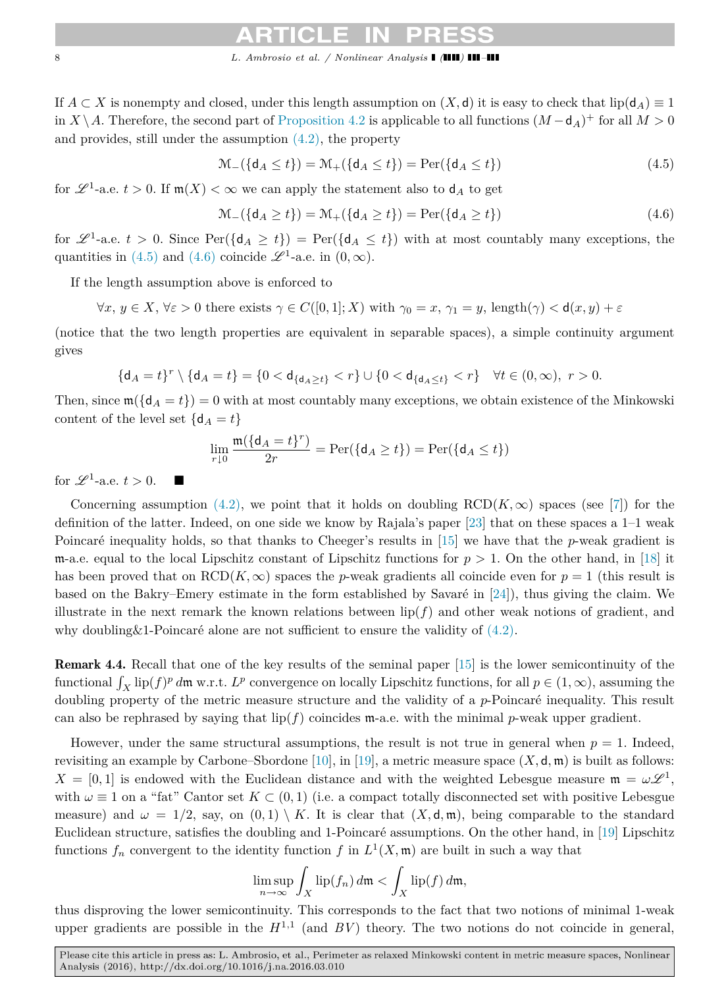# 8 *L. Ambrosio et al.* / Nonlinear Analysis **| (III) ||**

If  $A \subset X$  is nonempty and closed, under this length assumption on  $(X, d)$  it is easy to check that lip( $d_A$ )  $\equiv 1$ in *X* \ *A*. Therefore, the second part of [Proposition 4.2](#page-6-0) is applicable to all functions  $(M - d<sub>A</sub>)$ <sup>+</sup> for all *M* > 0 and provides, still under the assumption [\(4.2\),](#page-5-1) the property

<span id="page-7-0"></span>
$$
\mathcal{M}_{-}(\{\mathbf{d}_{A} \leq t\}) = \mathcal{M}_{+}(\{\mathbf{d}_{A} \leq t\}) = \text{Per}(\{\mathbf{d}_{A} \leq t\})
$$
\n(4.5)

for  $\mathscr{L}^1$ -a.e.  $t > 0$ . If  $m(X) < \infty$  we can apply the statement also to  $d_A$  to get

<span id="page-7-1"></span>
$$
\mathcal{M}_{-}(\{\mathsf{d}_{A} \ge t\}) = \mathcal{M}_{+}(\{\mathsf{d}_{A} \ge t\}) = \operatorname{Per}(\{\mathsf{d}_{A} \ge t\})
$$
\n(4.6)

for  $\mathscr{L}^1$ -a.e.  $t > 0$ . Since  $\text{Per}(\{\mathsf{d}_A \geq t\}) = \text{Per}(\{\mathsf{d}_A \leq t\})$  with at most countably many exceptions, the quantities in [\(4.5\)](#page-7-0) and [\(4.6\)](#page-7-1) coincide  $\mathscr{L}^1$ -a.e. in  $(0, \infty)$ .

If the length assumption above is enforced to

$$
\forall x, y \in X, \forall \varepsilon > 0 \text{ there exists } \gamma \in C([0,1];X) \text{ with } \gamma_0 = x, \gamma_1 = y, \text{ length}(\gamma) < \mathsf{d}(x, y) + \varepsilon
$$

(notice that the two length properties are equivalent in separable spaces), a simple continuity argument gives

$$
\{\mathsf{d}_A = t\}^r \setminus \{\mathsf{d}_A = t\} = \{0 < \mathsf{d}_{\{\mathsf{d}_A \ge t\}} < r\} \cup \{0 < \mathsf{d}_{\{\mathsf{d}_A \le t\}} < r\} \quad \forall t \in (0, \infty), \ r > 0.
$$

Then, since  $\mathfrak{m}(\{d_A = t\}) = 0$  with at most countably many exceptions, we obtain existence of the Minkowski content of the level set  $\{d_A = t\}$ 

$$
\lim_{r\downarrow 0} \frac{\mathfrak{m}(\{\mathsf{d}_A = t\}^r)}{2r} = \text{Per}(\{\mathsf{d}_A \ge t\}) = \text{Per}(\{\mathsf{d}_A \le t\})
$$

for  $\mathscr{L}^1$ -a.e.  $t > 0$ .

Concerning assumption  $(4.2)$ , we point that it holds on doubling  $RCD(K,\infty)$  spaces (see [\[7\]](#page-10-5)) for the definition of the latter. Indeed, on one side we know by Rajala's paper [\[23\]](#page-10-12) that on these spaces a 1–1 weak Poincaré inequality holds, so that thanks to Cheeger's results in  $[15]$  we have that the *p*-weak gradient is m-a.e. equal to the local Lipschitz constant of Lipschitz functions for  $p > 1$ . On the other hand, in [\[18\]](#page-10-14) it has been proved that on  $RCD(K,\infty)$  spaces the *p*-weak gradients all coincide even for  $p=1$  (this result is based on the Bakry–Emery estimate in the form established by Savaré in  $[24]$ ), thus giving the claim. We illustrate in the next remark the known relations between  $\text{lip}(f)$  and other weak notions of gradient, and why doubling  $& 1$ -Poincaré alone are not sufficient to ensure the validity of  $(4.2)$ .

Remark 4.4. Recall that one of the key results of the seminal paper [\[15\]](#page-10-13) is the lower semicontinuity of the functional  $\int_X \text{lip}(f)^p d\mathfrak{m}$  w.r.t.  $L^p$  convergence on locally Lipschitz functions, for all  $p \in (1, \infty)$ , assuming the doubling property of the metric measure structure and the validity of a *p*-Poincaré inequality. This result can also be rephrased by saying that  $lip(f)$  coincides  $m$ -a.e. with the minimal *p*-weak upper gradient.

However, under the same structural assumptions, the result is not true in general when  $p = 1$ . Indeed, revisiting an example by Carbone–Sbordone [\[10\]](#page-10-16), in [\[19\]](#page-10-17), a metric measure space  $(X, \mathsf{d}, \mathfrak{m})$  is built as follows:  $X = [0, 1]$  is endowed with the Euclidean distance and with the weighted Lebesgue measure  $\mathfrak{m} = \omega \mathcal{L}^1$ , with  $\omega \equiv 1$  on a "fat" Cantor set  $K \subset (0,1)$  (i.e. a compact totally disconnected set with positive Lebesgue measure) and  $\omega = 1/2$ , say, on  $(0,1) \setminus K$ . It is clear that  $(X, \mathsf{d}, \mathfrak{m})$ , being comparable to the standard Euclidean structure, satisfies the doubling and 1-Poincaré assumptions. On the other hand, in  $[19]$  Lipschitz functions  $f_n$  convergent to the identity function  $f$  in  $L^1(X, \mathfrak{m})$  are built in such a way that

$$
\limsup_{n\to\infty}\int_X\mathrm{lip}(f_n)\,d\mathfrak{m}<\int_X\mathrm{lip}(f)\,d\mathfrak{m},
$$

thus disproving the lower semicontinuity. This corresponds to the fact that two notions of minimal 1-weak upper gradients are possible in the  $H^{1,1}$  (and  $BV$ ) theory. The two notions do not coincide in general,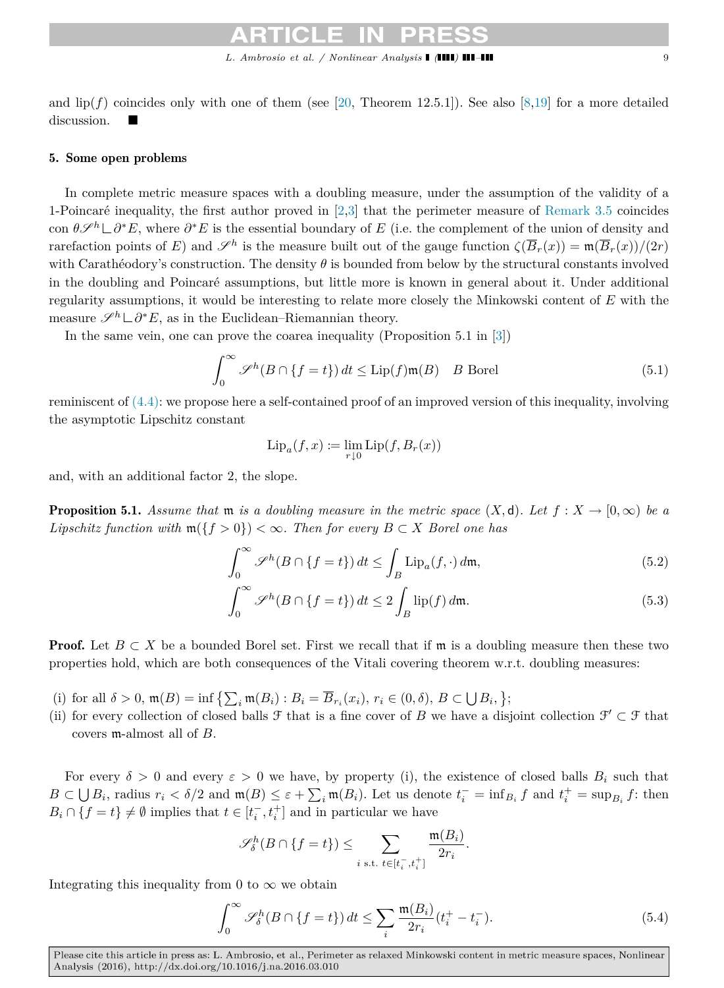<span id="page-8-0"></span>

and  $\text{lip}(f)$  coincides only with one of them (see [\[20,](#page-10-18) Theorem 12.5.1]). See also [\[8,](#page-10-19)[19\]](#page-10-17) for a more detailed discussion.

### 5. Some open problems

In complete metric measure spaces with a doubling measure, under the assumption of the validity of a 1-Poincaré inequality, the first author proved in  $[2,3]$  $[2,3]$  that the perimeter measure of [Remark 3.5](#page-4-2) coincides con  $\theta\mathscr{S}^h\Box\partial^*E$ , where  $\partial^*E$  is the essential boundary of *E* (i.e. the complement of the union of density and rarefaction points of *E*) and  $\mathscr{S}^h$  is the measure built out of the gauge function  $\zeta(\overline{B}_r(x)) = \mathfrak{m}(\overline{B}_r(x))/(2r)$ with Carathéodory's construction. The density  $\theta$  is bounded from below by the structural constants involved in the doubling and Poincaré assumptions, but little more is known in general about it. Under additional regularity assumptions, it would be interesting to relate more closely the Minkowski content of *E* with the measure  $\mathscr{S}^h \sqcup \partial^* E$ , as in the Euclidean–Riemannian theory.

In the same vein, one can prove the coarea inequality (Proposition 5.1 in [\[3\]](#page-9-3))

$$
\int_0^\infty \mathcal{S}^h(B \cap \{f = t\}) dt \le \text{Lip}(f) \mathfrak{m}(B) \quad B \text{ Borel}
$$
 (5.1)

reminiscent of [\(4.4\):](#page-6-1) we propose here a self-contained proof of an improved version of this inequality, involving the asymptotic Lipschitz constant

<span id="page-8-2"></span>
$$
\mathrm{Lip}_a(f, x) := \lim_{r \downarrow 0} \mathrm{Lip}(f, B_r(x))
$$

and, with an additional factor 2, the slope.

**Proposition 5.1.** Assume that  $m$  is a doubling measure in the metric space  $(X,d)$ . Let  $f: X \to [0,\infty)$  be a *Lipschitz function with*  $\mathfrak{m}(\lbrace f > 0 \rbrace) < \infty$ *. Then for every*  $B \subset X$  *Borel one has* 

$$
\int_0^\infty \mathscr{S}^h(B \cap \{f = t\}) dt \le \int_B \text{Lip}_a(f, \cdot) d\mathfrak{m},\tag{5.2}
$$

$$
\int_0^\infty \mathscr{S}^h(B \cap \{f = t\}) dt \le 2 \int_B \operatorname{lip}(f) d\mathfrak{m}.
$$
 (5.3)

**Proof.** Let  $B \subset X$  be a bounded Borel set. First we recall that if m is a doubling measure then these two properties hold, which are both consequences of the Vitali covering theorem w.r.t. doubling measures:

- (i) for all  $\delta > 0$ ,  $\mathfrak{m}(B) = \inf \left\{ \sum_i \mathfrak{m}(B_i) : B_i = \overline{B}_{r_i}(x_i), r_i \in (0, \delta), B \subset \bigcup B_i, \right\};$
- (ii) for every collection of closed balls  $\mathcal F$  that is a fine cover of *B* we have a disjoint collection  $\mathcal F' \subset \mathcal F$  that covers m-almost all of *B*.

For every  $\delta > 0$  and every  $\varepsilon > 0$  we have, by property (i), the existence of closed balls  $B_i$  such that  $B\subset \bigcup B_i$ , radius  $r_i < \delta/2$  and  $\mathfrak{m}(B) \leq \varepsilon + \sum_i \mathfrak{m}(B_i)$ . Let us denote  $t_i^- = \inf_{B_i} f$  and  $t_i^+ = \sup_{B_i} f$ : then  $B_i \cap \{f = t\} \neq \emptyset$  implies that  $t \in [t_i^-, t_i^+]$  and in particular we have

<span id="page-8-1"></span>
$$
\mathscr{S}_{\delta}^{h}(B \cap \{f=t\}) \leq \sum_{i \text{ s.t. } t \in [t_i^-, t_i^+]} \frac{\mathfrak{m}(B_i)}{2r_i}.
$$

Integrating this inequality from 0 to  $\infty$  we obtain

$$
\int_0^\infty \mathscr{S}_\delta^h(B \cap \{f = t\}) dt \le \sum_i \frac{\mathfrak{m}(B_i)}{2r_i} (t_i^+ - t_i^-). \tag{5.4}
$$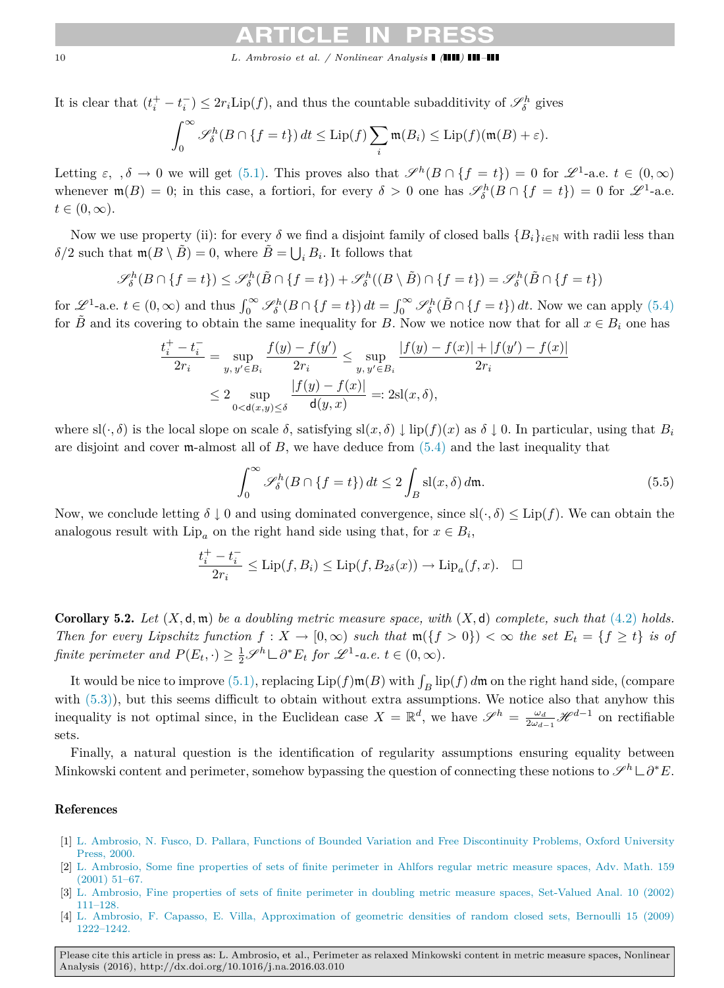10 *L. Ambrosio et al. / Nonlinear Analysis* **(1111)** 

It is clear that  $(t_i^+ - t_i^-) \leq 2r_i \text{Lip}(f)$ , and thus the countable subadditivity of  $\mathscr{S}_{\delta}^h$  gives

$$
\int_0^\infty \mathscr{S}_{\delta}^h(B \cap \{f = t\}) dt \le \text{Lip}(f) \sum_i \mathfrak{m}(B_i) \le \text{Lip}(f)(\mathfrak{m}(B) + \varepsilon).
$$

Letting  $\varepsilon$ ,  $\delta \to 0$  we will get [\(5.1\).](#page-8-0) This proves also that  $\mathscr{S}^h(B \cap \{f = t\}) = 0$  for  $\mathscr{L}^1$ -a.e.  $t \in (0, \infty)$ whenever  $\mathfrak{m}(B) = 0$ ; in this case, a fortiori, for every  $\delta > 0$  one has  $\mathscr{S}_{\delta}^{h}(B \cap \{f = t\}) = 0$  for  $\mathscr{L}^1$ -a.e.  $t \in (0, \infty).$ 

Now we use property (ii): for every  $\delta$  we find a disjoint family of closed balls  $\{B_i\}_{i\in\mathbb{N}}$  with radii less than  $\delta/2$  such that  $\mathfrak{m}(B \setminus \tilde{B}) = 0$ , where  $\tilde{B} = \bigcup_i B_i$ . It follows that

$$
\mathscr{S}_{\delta}^{h}(B \cap \{f = t\}) \leq \mathscr{S}_{\delta}^{h}(\tilde{B} \cap \{f = t\}) + \mathscr{S}_{\delta}^{h}((B \setminus \tilde{B}) \cap \{f = t\}) = \mathscr{S}_{\delta}^{h}(\tilde{B} \cap \{f = t\})
$$

for  $\mathscr{L}^1$ -a.e.  $t \in (0, \infty)$  and thus  $\int_0^\infty \mathscr{S}_{\delta}^h(B \cap \{f = t\}) dt = \int_0^\infty \mathscr{S}_{\delta}^h(\tilde{B} \cap \{f = t\}) dt$ . Now we can apply [\(5.4\)](#page-8-1) for  $\hat{B}$  and its covering to obtain the same inequality for *B*. Now we notice now that for all  $x \in B_i$  one has

$$
\frac{t_i^+ - t_i^-}{2r_i} = \sup_{y, y' \in B_i} \frac{f(y) - f(y')}{2r_i} \le \sup_{y, y' \in B_i} \frac{|f(y) - f(x)| + |f(y') - f(x)|}{2r_i}
$$

$$
\le 2 \sup_{0 < d(x, y) \le \delta} \frac{|f(y) - f(x)|}{d(y, x)} =: 2\mathrm{sl}(x, \delta),
$$

where  $\text{sl}(\cdot, \delta)$  is the local slope on scale  $\delta$ , satisfying  $\text{sl}(x, \delta) \downarrow \text{lip}(f)(x)$  as  $\delta \downarrow 0$ . In particular, using that  $B_i$ are disjoint and cover m-almost all of  $B$ , we have deduce from  $(5.4)$  and the last inequality that

$$
\int_0^\infty \mathscr{S}_\delta^h(B \cap \{f = t\}) dt \le 2 \int_B \text{sl}(x, \delta) d\mathfrak{m}.
$$
 (5.5)

Now, we conclude letting  $\delta \downarrow 0$  and using dominated convergence, since  $sl(\cdot, \delta) \leq Lip(f)$ . We can obtain the analogous result with  $\text{Lip}_a$  on the right hand side using that, for  $x \in B_i$ ,

$$
\frac{t_i^+ - t_i^-}{2r_i} \le \text{Lip}(f, B_i) \le \text{Lip}(f, B_{2\delta}(x)) \to \text{Lip}_a(f, x). \quad \Box
$$

Corollary 5.2. *Let* (*X,* d*,* m) *be a doubling metric measure space, with* (*X,* d) *complete, such that* [\(4.2\)](#page-5-1) *holds. Then for every Lipschitz function*  $f: X \to [0, \infty)$  *such that*  $\mathfrak{m}(\lbrace f > 0 \rbrace) < \infty$  *the set*  $E_t = \lbrace f \geq t \rbrace$  *is of finite perimeter and*  $P(E_t, \cdot) \geq \frac{1}{2} \mathcal{S}^h \sqcup \partial^* E_t$  *for*  $\mathcal{L}^1$ -a.e.  $t \in (0, \infty)$ *.* 

It would be nice to improve [\(5.1\),](#page-8-0) replacing  $\text{Lip}(f) \mathfrak{m}(B)$  with  $\int_B \text{lip}(f) d\mathfrak{m}$  on the right hand side, (compare with  $(5.3)$ ), but this seems difficult to obtain without extra assumptions. We notice also that anyhow this inequality is not optimal since, in the Euclidean case  $X = \mathbb{R}^d$ , we have  $\mathscr{S}^h = \frac{\omega_d}{2\omega_{d-1}} \mathscr{H}^{d-1}$  on rectifiable sets.

Finally, a natural question is the identification of regularity assumptions ensuring equality between Minkowski content and perimeter, somehow bypassing the question of connecting these notions to  $\mathscr{S}^h \sqcup \partial^* E$ .

### References

- <span id="page-9-1"></span>[1] L. [Ambrosio, N. Fusco, D. Pallara, Functions of Bounded Variation and Free Discontinuity Problems, Oxford University](http://refhub.elsevier.com/S0362-546X(16)00090-0/sbref1) Press, 2000.
- <span id="page-9-2"></span>[2] L. [Ambrosio, Some fine properties of sets of finite perimeter in Ahlfors regular metric measure spaces, Adv. Math. 159](http://refhub.elsevier.com/S0362-546X(16)00090-0/sbref2) (2001) 51–67.
- <span id="page-9-3"></span>[3] L. [Ambrosio, Fine properties of sets of finite perimeter in doubling metric measure spaces, Set-Valued Anal. 10 \(2002\)](http://refhub.elsevier.com/S0362-546X(16)00090-0/sbref3) 111–128.
- <span id="page-9-0"></span>[4] L. [Ambrosio, F. Capasso, E. Villa, Approximation of geometric densities of random closed sets, Bernoulli 15 \(2009\)](http://refhub.elsevier.com/S0362-546X(16)00090-0/sbref4) 1222–1242.